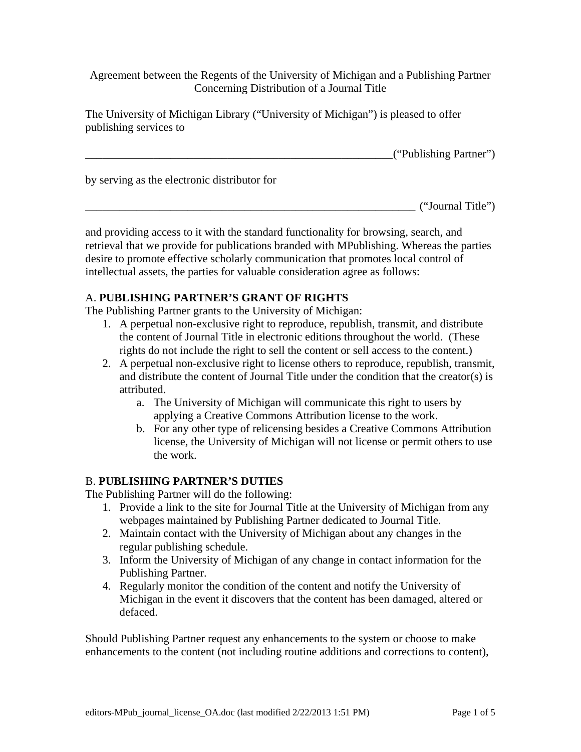Agreement between the Regents of the University of Michigan and a Publishing Partner Concerning Distribution of a Journal Title

The University of Michigan Library ("University of Michigan") is pleased to offer publishing services to

|                                              | ("Publishing Partner") |
|----------------------------------------------|------------------------|
| by serving as the electronic distributor for |                        |
|                                              | ("Journal Title")      |

and providing access to it with the standard functionality for browsing, search, and retrieval that we provide for publications branded with MPublishing. Whereas the parties desire to promote effective scholarly communication that promotes local control of intellectual assets, the parties for valuable consideration agree as follows:

### A. **PUBLISHING PARTNER'S GRANT OF RIGHTS**

The Publishing Partner grants to the University of Michigan:

- 1. A perpetual non-exclusive right to reproduce, republish, transmit, and distribute the content of Journal Title in electronic editions throughout the world. (These rights do not include the right to sell the content or sell access to the content.)
- 2. A perpetual non-exclusive right to license others to reproduce, republish, transmit, and distribute the content of Journal Title under the condition that the creator(s) is attributed.
	- a. The University of Michigan will communicate this right to users by applying a Creative Commons Attribution license to the work.
	- b. For any other type of relicensing besides a Creative Commons Attribution license, the University of Michigan will not license or permit others to use the work.

## B. **PUBLISHING PARTNER'S DUTIES**

The Publishing Partner will do the following:

- 1. Provide a link to the site for Journal Title at the University of Michigan from any webpages maintained by Publishing Partner dedicated to Journal Title.
- 2. Maintain contact with the University of Michigan about any changes in the regular publishing schedule.
- 3. Inform the University of Michigan of any change in contact information for the Publishing Partner.
- 4. Regularly monitor the condition of the content and notify the University of Michigan in the event it discovers that the content has been damaged, altered or defaced.

Should Publishing Partner request any enhancements to the system or choose to make enhancements to the content (not including routine additions and corrections to content),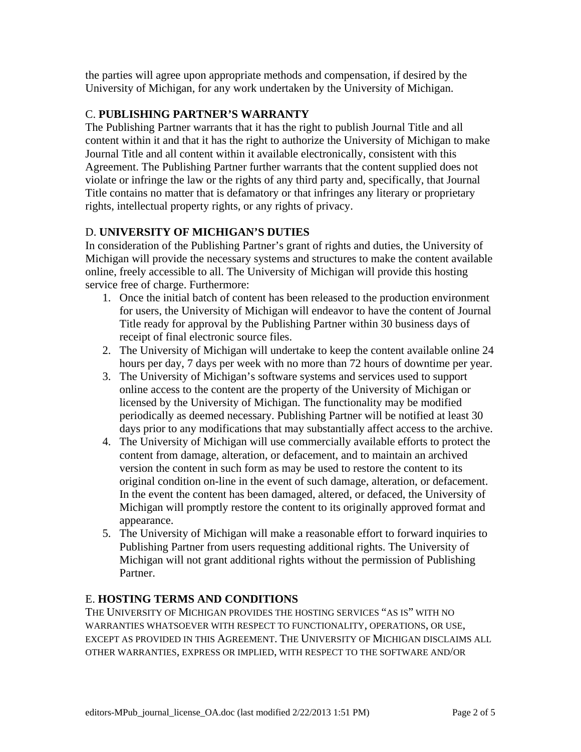the parties will agree upon appropriate methods and compensation, if desired by the University of Michigan, for any work undertaken by the University of Michigan.

## C. **PUBLISHING PARTNER'S WARRANTY**

The Publishing Partner warrants that it has the right to publish Journal Title and all content within it and that it has the right to authorize the University of Michigan to make Journal Title and all content within it available electronically, consistent with this Agreement. The Publishing Partner further warrants that the content supplied does not violate or infringe the law or the rights of any third party and, specifically, that Journal Title contains no matter that is defamatory or that infringes any literary or proprietary rights, intellectual property rights, or any rights of privacy.

# D. **UNIVERSITY OF MICHIGAN'S DUTIES**

In consideration of the Publishing Partner's grant of rights and duties, the University of Michigan will provide the necessary systems and structures to make the content available online, freely accessible to all. The University of Michigan will provide this hosting service free of charge. Furthermore:

- 1. Once the initial batch of content has been released to the production environment for users, the University of Michigan will endeavor to have the content of Journal Title ready for approval by the Publishing Partner within 30 business days of receipt of final electronic source files.
- 2. The University of Michigan will undertake to keep the content available online 24 hours per day, 7 days per week with no more than 72 hours of downtime per year.
- 3. The University of Michigan's software systems and services used to support online access to the content are the property of the University of Michigan or licensed by the University of Michigan. The functionality may be modified periodically as deemed necessary. Publishing Partner will be notified at least 30 days prior to any modifications that may substantially affect access to the archive.
- 4. The University of Michigan will use commercially available efforts to protect the content from damage, alteration, or defacement, and to maintain an archived version the content in such form as may be used to restore the content to its original condition on-line in the event of such damage, alteration, or defacement. In the event the content has been damaged, altered, or defaced, the University of Michigan will promptly restore the content to its originally approved format and appearance.
- 5. The University of Michigan will make a reasonable effort to forward inquiries to Publishing Partner from users requesting additional rights. The University of Michigan will not grant additional rights without the permission of Publishing Partner.

## E. **HOSTING TERMS AND CONDITIONS**

THE UNIVERSITY OF MICHIGAN PROVIDES THE HOSTING SERVICES "AS IS" WITH NO WARRANTIES WHATSOEVER WITH RESPECT TO FUNCTIONALITY, OPERATIONS, OR USE, EXCEPT AS PROVIDED IN THIS AGREEMENT. THE UNIVERSITY OF MICHIGAN DISCLAIMS ALL OTHER WARRANTIES, EXPRESS OR IMPLIED, WITH RESPECT TO THE SOFTWARE AND/OR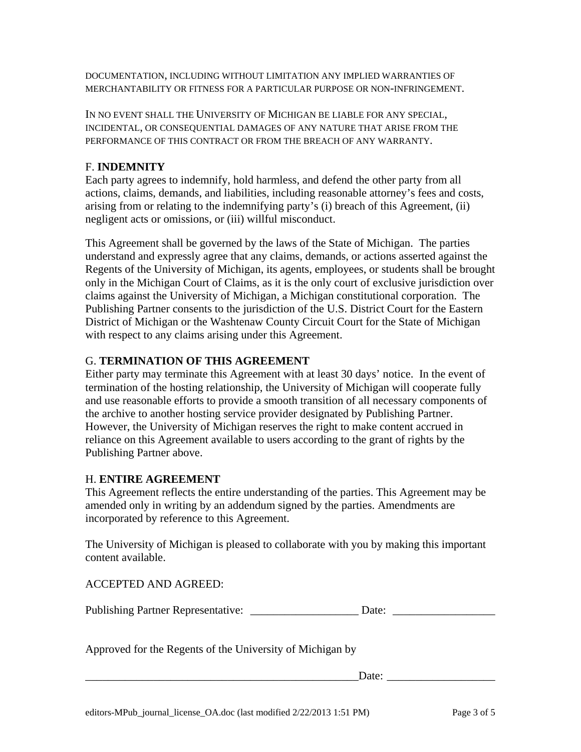DOCUMENTATION, INCLUDING WITHOUT LIMITATION ANY IMPLIED WARRANTIES OF MERCHANTABILITY OR FITNESS FOR A PARTICULAR PURPOSE OR NON-INFRINGEMENT.

IN NO EVENT SHALL THE UNIVERSITY OF MICHIGAN BE LIABLE FOR ANY SPECIAL, INCIDENTAL, OR CONSEQUENTIAL DAMAGES OF ANY NATURE THAT ARISE FROM THE PERFORMANCE OF THIS CONTRACT OR FROM THE BREACH OF ANY WARRANTY.

#### F. **INDEMNITY**

Each party agrees to indemnify, hold harmless, and defend the other party from all actions, claims, demands, and liabilities, including reasonable attorney's fees and costs, arising from or relating to the indemnifying party's (i) breach of this Agreement, (ii) negligent acts or omissions, or (iii) willful misconduct.

This Agreement shall be governed by the laws of the State of Michigan. The parties understand and expressly agree that any claims, demands, or actions asserted against the Regents of the University of Michigan, its agents, employees, or students shall be brought only in the Michigan Court of Claims, as it is the only court of exclusive jurisdiction over claims against the University of Michigan, a Michigan constitutional corporation. The Publishing Partner consents to the jurisdiction of the U.S. District Court for the Eastern District of Michigan or the Washtenaw County Circuit Court for the State of Michigan with respect to any claims arising under this Agreement.

#### G. **TERMINATION OF THIS AGREEMENT**

Either party may terminate this Agreement with at least 30 days' notice. In the event of termination of the hosting relationship, the University of Michigan will cooperate fully and use reasonable efforts to provide a smooth transition of all necessary components of the archive to another hosting service provider designated by Publishing Partner. However, the University of Michigan reserves the right to make content accrued in reliance on this Agreement available to users according to the grant of rights by the Publishing Partner above.

#### H. **ENTIRE AGREEMENT**

This Agreement reflects the entire understanding of the parties. This Agreement may be amended only in writing by an addendum signed by the parties. Amendments are incorporated by reference to this Agreement.

The University of Michigan is pleased to collaborate with you by making this important content available.

ACCEPTED AND AGREED:

Approved for the Regents of the University of Michigan by

Date: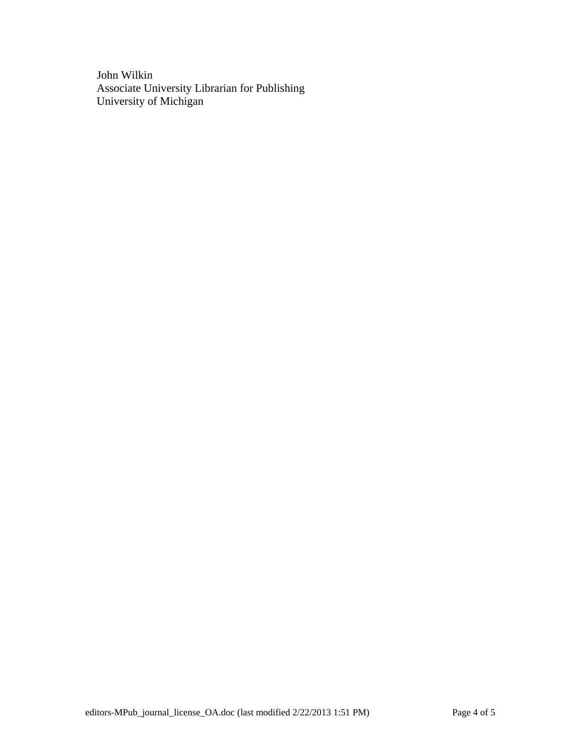John Wilkin Associate University Librarian for Publishing University of Michigan